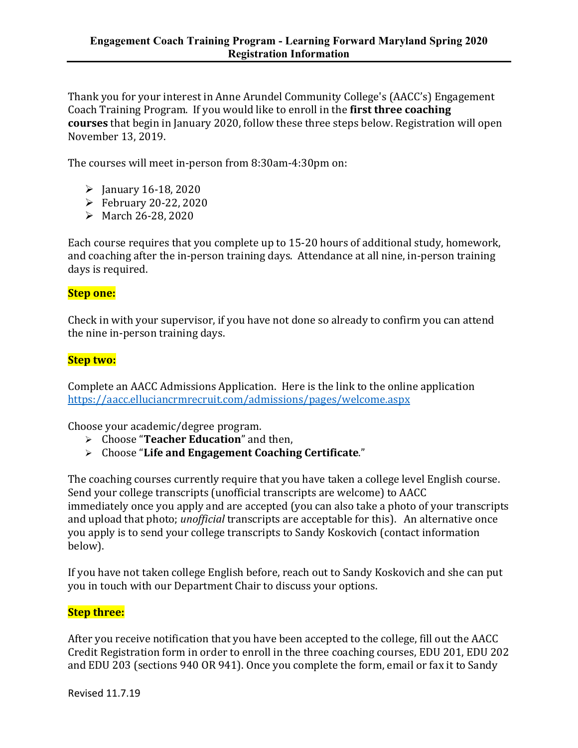Thank you for your interest in Anne Arundel Community College's (AACC's) Engagement Coach Training Program. If you would like to enroll in the **first three coaching courses** that begin in January 2020, follow these three steps below. Registration will open November 13, 2019.

The courses will meet in-person from 8:30am-4:30pm on:

- $\geq$  January 16-18, 2020
- $\blacktriangleright$  February 20-22, 2020
- March 26-28, 2020

Each course requires that you complete up to 15-20 hours of additional study, homework, and coaching after the in-person training days. Attendance at all nine, in-person training days is required.

## **Step one:**

Check in with your supervisor, if you have not done so already to confirm you can attend the nine in-person training days.

## **Step two:**

Complete an AACC Admissions Application. Here is the link to the online application https://aacc.elluciancrmrecruit.com/admissions/pages/welcome.aspx

Choose your academic/degree program.

- Choose "**Teacher Education**" and then,
- Choose "**Life and Engagement Coaching Certificate**."

The coaching courses currently require that you have taken a college level English course. Send your college transcripts (unofficial transcripts are welcome) to AACC immediately once you apply and are accepted (you can also take a photo of your transcripts and upload that photo; *unofficial* transcripts are acceptable for this). An alternative once you apply is to send your college transcripts to Sandy Koskovich (contact information below).

If you have not taken college English before, reach out to Sandy Koskovich and she can put you in touch with our Department Chair to discuss your options.

## **Step three:**

After you receive notification that you have been accepted to the college, fill out the AACC Credit Registration form in order to enroll in the three coaching courses, EDU 201, EDU 202 and EDU 203 (sections 940 OR 941). Once you complete the form, email or fax it to Sandy